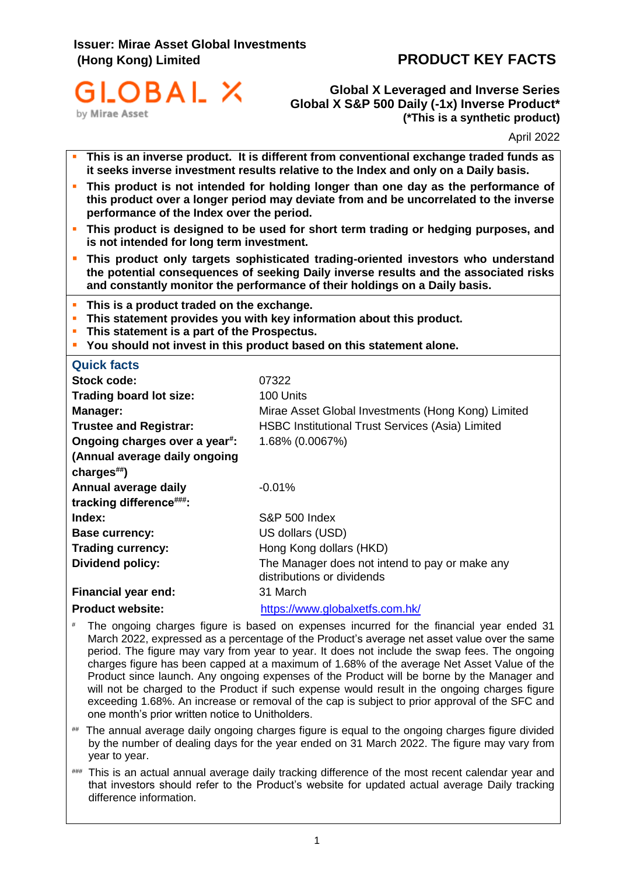# **Issuer: Mirae Asset Global Investments (Hong Kong) Limited PRODUCT KEY FACTS**



**Global X Leveraged and Inverse Series Global X S&P 500 Daily (-1x) Inverse Product\* (\*This is a synthetic product)**

April 2022

|                                                                                                                                                                                                                          | This is an inverse product. It is different from conventional exchange traded funds as<br>it seeks inverse investment results relative to the Index and only on a Daily basis.                                                                          |  |
|--------------------------------------------------------------------------------------------------------------------------------------------------------------------------------------------------------------------------|---------------------------------------------------------------------------------------------------------------------------------------------------------------------------------------------------------------------------------------------------------|--|
| This product is not intended for holding longer than one day as the performance of<br>this product over a longer period may deviate from and be uncorrelated to the inverse<br>performance of the Index over the period. |                                                                                                                                                                                                                                                         |  |
| This product is designed to be used for short term trading or hedging purposes, and<br>×<br>is not intended for long term investment.                                                                                    |                                                                                                                                                                                                                                                         |  |
| п                                                                                                                                                                                                                        | This product only targets sophisticated trading-oriented investors who understand<br>the potential consequences of seeking Daily inverse results and the associated risks<br>and constantly monitor the performance of their holdings on a Daily basis. |  |
| This is a product traded on the exchange.<br>$\blacksquare$<br>This statement is a part of the Prospectus.                                                                                                               | This statement provides you with key information about this product.<br>You should not invest in this product based on this statement alone.                                                                                                            |  |
| <b>Quick facts</b>                                                                                                                                                                                                       |                                                                                                                                                                                                                                                         |  |
| <b>Stock code:</b>                                                                                                                                                                                                       | 07322                                                                                                                                                                                                                                                   |  |
| Trading board lot size:                                                                                                                                                                                                  | 100 Units                                                                                                                                                                                                                                               |  |
| Manager:                                                                                                                                                                                                                 | Mirae Asset Global Investments (Hong Kong) Limited                                                                                                                                                                                                      |  |
| <b>Trustee and Registrar:</b>                                                                                                                                                                                            | <b>HSBC Institutional Trust Services (Asia) Limited</b>                                                                                                                                                                                                 |  |
| Ongoing charges over a year#:                                                                                                                                                                                            | 1.68% (0.0067%)                                                                                                                                                                                                                                         |  |
| (Annual average daily ongoing<br>charges##)                                                                                                                                                                              |                                                                                                                                                                                                                                                         |  |
| Annual average daily                                                                                                                                                                                                     | $-0.01%$                                                                                                                                                                                                                                                |  |
| tracking difference###:                                                                                                                                                                                                  |                                                                                                                                                                                                                                                         |  |
| Index:                                                                                                                                                                                                                   | <b>S&amp;P 500 Index</b>                                                                                                                                                                                                                                |  |
| <b>Base currency:</b>                                                                                                                                                                                                    | US dollars (USD)                                                                                                                                                                                                                                        |  |
| <b>Trading currency:</b>                                                                                                                                                                                                 | Hong Kong dollars (HKD)                                                                                                                                                                                                                                 |  |
| <b>Dividend policy:</b>                                                                                                                                                                                                  | The Manager does not intend to pay or make any<br>distributions or dividends                                                                                                                                                                            |  |
| <b>Financial year end:</b>                                                                                                                                                                                               | 31 March                                                                                                                                                                                                                                                |  |
| <b>Product website:</b>                                                                                                                                                                                                  | https://www.globalxetfs.com.hk/                                                                                                                                                                                                                         |  |

- # The ongoing charges figure is based on expenses incurred for the financial year ended 31 March 2022, expressed as a percentage of the Product's average net asset value over the same period. The figure may vary from year to year. It does not include the swap fees. The ongoing charges figure has been capped at a maximum of 1.68% of the average Net Asset Value of the Product since launch. Any ongoing expenses of the Product will be borne by the Manager and will not be charged to the Product if such expense would result in the ongoing charges figure exceeding 1.68%. An increase or removal of the cap is subject to prior approval of the SFC and one month's prior written notice to Unitholders.
- ## The annual average daily ongoing charges figure is equal to the ongoing charges figure divided by the number of dealing days for the year ended on 31 March 2022. The figure may vary from year to year.
- ### This is an actual annual average daily tracking difference of the most recent calendar year and that investors should refer to the Product's website for updated actual average Daily tracking difference information.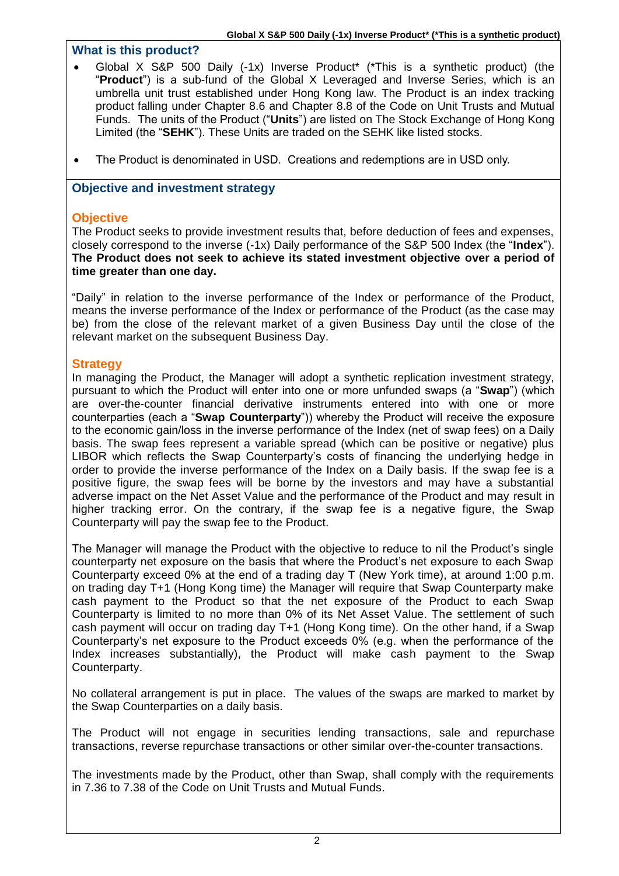## **What is this product?**

- Global X S&P 500 Daily (-1x) Inverse Product\* (\*This is a synthetic product) (the "**Product**") is a sub-fund of the Global X Leveraged and Inverse Series, which is an umbrella unit trust established under Hong Kong law. The Product is an index tracking product falling under Chapter 8.6 and Chapter 8.8 of the Code on Unit Trusts and Mutual Funds. The units of the Product ("**Units**") are listed on The Stock Exchange of Hong Kong Limited (the "**SEHK**"). These Units are traded on the SEHK like listed stocks.
- The Product is denominated in USD. Creations and redemptions are in USD only.

## **Objective and investment strategy**

## **Objective**

The Product seeks to provide investment results that, before deduction of fees and expenses, closely correspond to the inverse (-1x) Daily performance of the S&P 500 Index (the "**Index**"). **The Product does not seek to achieve its stated investment objective over a period of time greater than one day.**

"Daily" in relation to the inverse performance of the Index or performance of the Product, means the inverse performance of the Index or performance of the Product (as the case may be) from the close of the relevant market of a given Business Day until the close of the relevant market on the subsequent Business Day.

## **Strategy**

In managing the Product, the Manager will adopt a synthetic replication investment strategy, pursuant to which the Product will enter into one or more unfunded swaps (a "**Swap**") (which are over-the-counter financial derivative instruments entered into with one or more counterparties (each a "**Swap Counterparty**")) whereby the Product will receive the exposure to the economic gain/loss in the inverse performance of the Index (net of swap fees) on a Daily basis. The swap fees represent a variable spread (which can be positive or negative) plus LIBOR which reflects the Swap Counterparty's costs of financing the underlying hedge in order to provide the inverse performance of the Index on a Daily basis. If the swap fee is a positive figure, the swap fees will be borne by the investors and may have a substantial adverse impact on the Net Asset Value and the performance of the Product and may result in higher tracking error. On the contrary, if the swap fee is a negative figure, the Swap Counterparty will pay the swap fee to the Product.

The Manager will manage the Product with the objective to reduce to nil the Product's single counterparty net exposure on the basis that where the Product's net exposure to each Swap Counterparty exceed 0% at the end of a trading day T (New York time), at around 1:00 p.m. on trading day T+1 (Hong Kong time) the Manager will require that Swap Counterparty make cash payment to the Product so that the net exposure of the Product to each Swap Counterparty is limited to no more than 0% of its Net Asset Value. The settlement of such cash payment will occur on trading day T+1 (Hong Kong time). On the other hand, if a Swap Counterparty's net exposure to the Product exceeds 0% (e.g. when the performance of the Index increases substantially), the Product will make cash payment to the Swap Counterparty.

No collateral arrangement is put in place. The values of the swaps are marked to market by the Swap Counterparties on a daily basis.

The Product will not engage in securities lending transactions, sale and repurchase transactions, reverse repurchase transactions or other similar over-the-counter transactions.

The investments made by the Product, other than Swap, shall comply with the requirements in 7.36 to 7.38 of the Code on Unit Trusts and Mutual Funds.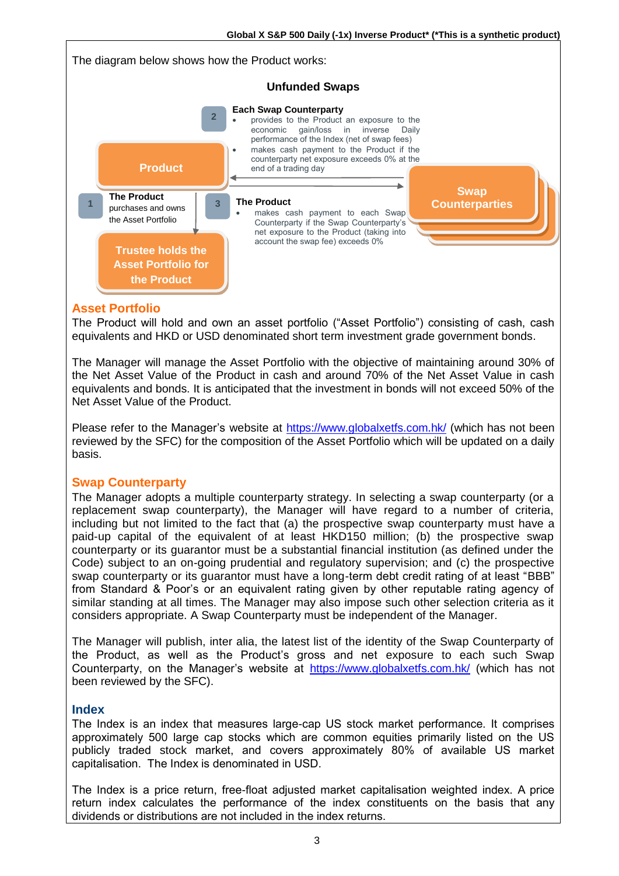

#### **Asset Portfolio**

The Product will hold and own an asset portfolio ("Asset Portfolio") consisting of cash, cash equivalents and HKD or USD denominated short term investment grade government bonds.

The Manager will manage the Asset Portfolio with the objective of maintaining around 30% of the Net Asset Value of the Product in cash and around 70% of the Net Asset Value in cash equivalents and bonds. It is anticipated that the investment in bonds will not exceed 50% of the Net Asset Value of the Product.

Please refer to the Manager's website at https://www.globalxetfs.com.hk/ (which has not been reviewed by the SFC) for the composition of the Asset Portfolio which will be updated on a daily basis.

#### **Swap Counterparty**

The Manager adopts a multiple counterparty strategy. In selecting a swap counterparty (or a replacement swap counterparty), the Manager will have regard to a number of criteria, including but not limited to the fact that (a) the prospective swap counterparty must have a paid-up capital of the equivalent of at least HKD150 million; (b) the prospective swap counterparty or its guarantor must be a substantial financial institution (as defined under the Code) subject to an on-going prudential and regulatory supervision; and (c) the prospective swap counterparty or its guarantor must have a long-term debt credit rating of at least "BBB" from Standard & Poor's or an equivalent rating given by other reputable rating agency of similar standing at all times. The Manager may also impose such other selection criteria as it considers appropriate. A Swap Counterparty must be independent of the Manager.

The Manager will publish, inter alia, the latest list of the identity of the Swap Counterparty of the Product, as well as the Product's gross and net exposure to each such Swap Counterparty, on the Manager's website at https://www.globalxetfs.com.hk/ (which has not been reviewed by the SFC).

#### **Index**

The Index is an index that measures large-cap US stock market performance. It comprises approximately 500 large cap stocks which are common equities primarily listed on the US publicly traded stock market, and covers approximately 80% of available US market capitalisation. The Index is denominated in USD.

The Index is a price return, free-float adjusted market capitalisation weighted index. A price return index calculates the performance of the index constituents on the basis that any dividends or distributions are not included in the index returns.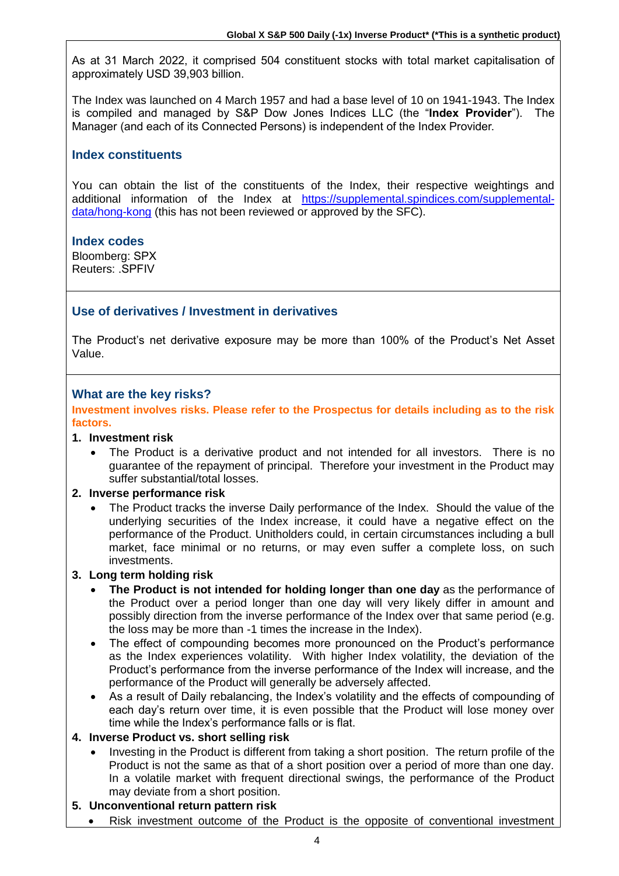As at 31 March 2022, it comprised 504 constituent stocks with total market capitalisation of approximately USD 39,903 billion.

The Index was launched on 4 March 1957 and had a base level of 10 on 1941-1943. The Index is compiled and managed by S&P Dow Jones Indices LLC (the "**Index Provider**"). The Manager (and each of its Connected Persons) is independent of the Index Provider.

## **Index constituents**

You can obtain the list of the constituents of the Index, their respective weightings and additional information of the Index at [https://supplemental.spindices.com/supplemental](https://supplemental.spindices.com/supplemental-data/hong-kong)[data/hong-kong](https://supplemental.spindices.com/supplemental-data/hong-kong) (this has not been reviewed or approved by the SFC).

#### **Index codes**

Bloomberg: SPX Reuters: .SPFIV

# **Use of derivatives / Investment in derivatives**

The Product's net derivative exposure may be more than 100% of the Product's Net Asset Value.

#### **What are the key risks?**

**Investment involves risks. Please refer to the Prospectus for details including as to the risk factors.**

#### **1. Investment risk**

The Product is a derivative product and not intended for all investors. There is no guarantee of the repayment of principal. Therefore your investment in the Product may suffer substantial/total losses.

#### **2. Inverse performance risk**

• The Product tracks the inverse Daily performance of the Index. Should the value of the underlying securities of the Index increase, it could have a negative effect on the performance of the Product. Unitholders could, in certain circumstances including a bull market, face minimal or no returns, or may even suffer a complete loss, on such investments.

#### **3. Long term holding risk**

- **The Product is not intended for holding longer than one day** as the performance of the Product over a period longer than one day will very likely differ in amount and possibly direction from the inverse performance of the Index over that same period (e.g. the loss may be more than -1 times the increase in the Index).
- The effect of compounding becomes more pronounced on the Product's performance as the Index experiences volatility. With higher Index volatility, the deviation of the Product's performance from the inverse performance of the Index will increase, and the performance of the Product will generally be adversely affected.
- As a result of Daily rebalancing, the Index's volatility and the effects of compounding of each day's return over time, it is even possible that the Product will lose money over time while the Index's performance falls or is flat.

#### **4. Inverse Product vs. short selling risk**

• Investing in the Product is different from taking a short position. The return profile of the Product is not the same as that of a short position over a period of more than one day. In a volatile market with frequent directional swings, the performance of the Product may deviate from a short position.

#### **5. Unconventional return pattern risk**

• Risk investment outcome of the Product is the opposite of conventional investment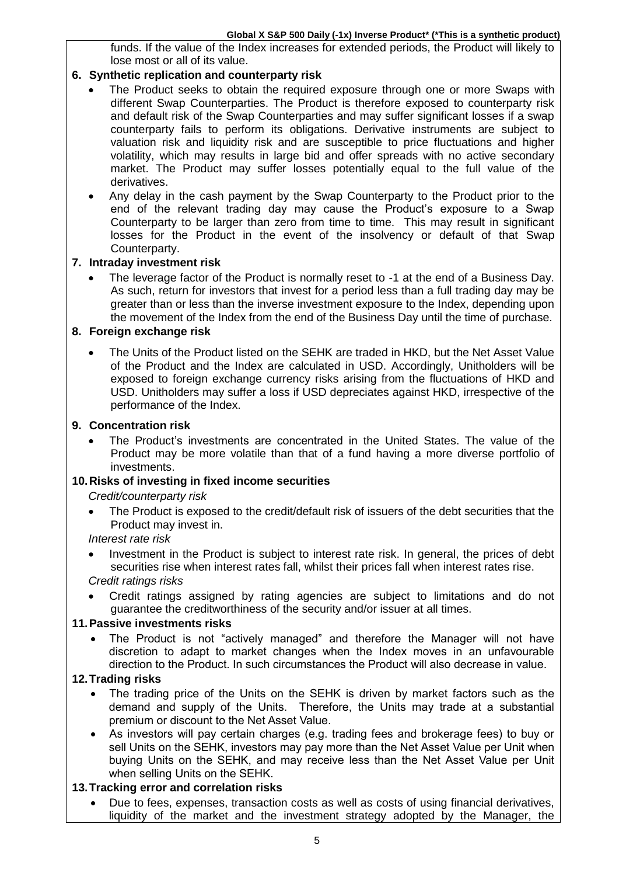funds. If the value of the Index increases for extended periods, the Product will likely to lose most or all of its value.

## **6. Synthetic replication and counterparty risk**

- The Product seeks to obtain the required exposure through one or more Swaps with different Swap Counterparties. The Product is therefore exposed to counterparty risk and default risk of the Swap Counterparties and may suffer significant losses if a swap counterparty fails to perform its obligations. Derivative instruments are subject to valuation risk and liquidity risk and are susceptible to price fluctuations and higher volatility, which may results in large bid and offer spreads with no active secondary market. The Product may suffer losses potentially equal to the full value of the derivatives.
- Any delay in the cash payment by the Swap Counterparty to the Product prior to the end of the relevant trading day may cause the Product's exposure to a Swap Counterparty to be larger than zero from time to time. This may result in significant losses for the Product in the event of the insolvency or default of that Swap Counterparty.

## **7. Intraday investment risk**

• The leverage factor of the Product is normally reset to -1 at the end of a Business Day. As such, return for investors that invest for a period less than a full trading day may be greater than or less than the inverse investment exposure to the Index, depending upon the movement of the Index from the end of the Business Day until the time of purchase.

#### **8. Foreign exchange risk**

The Units of the Product listed on the SEHK are traded in HKD, but the Net Asset Value of the Product and the Index are calculated in USD. Accordingly, Unitholders will be exposed to foreign exchange currency risks arising from the fluctuations of HKD and USD. Unitholders may suffer a loss if USD depreciates against HKD, irrespective of the performance of the Index.

#### **9. Concentration risk**

• The Product's investments are concentrated in the United States. The value of the Product may be more volatile than that of a fund having a more diverse portfolio of investments.

# **10.Risks of investing in fixed income securities**

*Credit/counterparty risk*

• The Product is exposed to the credit/default risk of issuers of the debt securities that the Product may invest in.

#### *Interest rate risk*

- Investment in the Product is subject to interest rate risk. In general, the prices of debt securities rise when interest rates fall, whilst their prices fall when interest rates rise. *Credit ratings risks*
- Credit ratings assigned by rating agencies are subject to limitations and do not guarantee the creditworthiness of the security and/or issuer at all times.

#### **11.Passive investments risks**

• The Product is not "actively managed" and therefore the Manager will not have discretion to adapt to market changes when the Index moves in an unfavourable direction to the Product. In such circumstances the Product will also decrease in value.

#### **12.Trading risks**

- The trading price of the Units on the SEHK is driven by market factors such as the demand and supply of the Units. Therefore, the Units may trade at a substantial premium or discount to the Net Asset Value.
- As investors will pay certain charges (e.g. trading fees and brokerage fees) to buy or sell Units on the SEHK, investors may pay more than the Net Asset Value per Unit when buying Units on the SEHK, and may receive less than the Net Asset Value per Unit when selling Units on the SEHK.

#### **13.Tracking error and correlation risks**

• Due to fees, expenses, transaction costs as well as costs of using financial derivatives, liquidity of the market and the investment strategy adopted by the Manager, the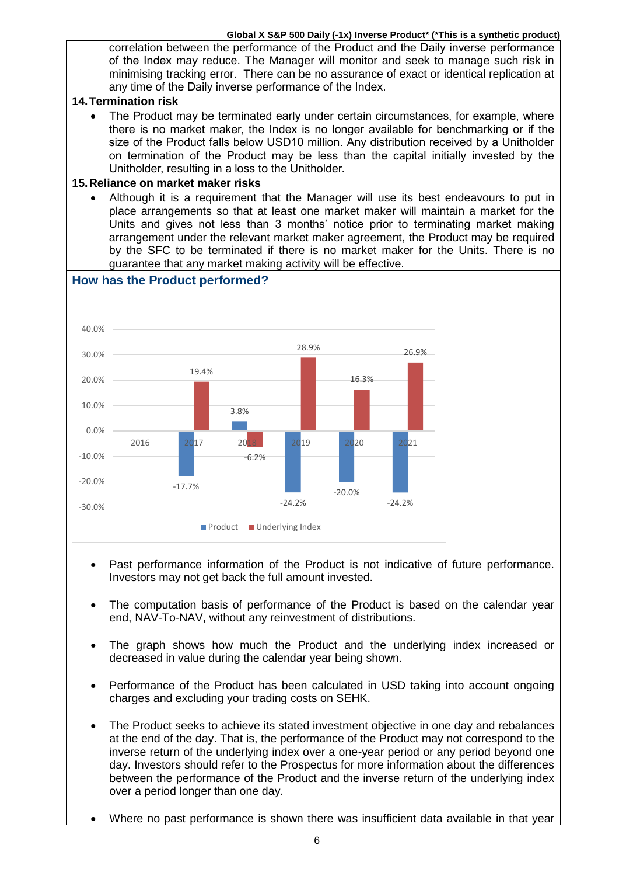#### **Global X S&P 500 Daily (-1x) Inverse Product\* (\*This is a synthetic product)**

correlation between the performance of the Product and the Daily inverse performance of the Index may reduce. The Manager will monitor and seek to manage such risk in minimising tracking error. There can be no assurance of exact or identical replication at any time of the Daily inverse performance of the Index.

#### **14.Termination risk**

• The Product may be terminated early under certain circumstances, for example, where there is no market maker, the Index is no longer available for benchmarking or if the size of the Product falls below USD10 million. Any distribution received by a Unitholder on termination of the Product may be less than the capital initially invested by the Unitholder, resulting in a loss to the Unitholder.

#### **15.Reliance on market maker risks**

• Although it is a requirement that the Manager will use its best endeavours to put in place arrangements so that at least one market maker will maintain a market for the Units and gives not less than 3 months' notice prior to terminating market making arrangement under the relevant market maker agreement, the Product may be required by the SFC to be terminated if there is no market maker for the Units. There is no guarantee that any market making activity will be effective.



- Past performance information of the Product is not indicative of future performance. Investors may not get back the full amount invested.
- The computation basis of performance of the Product is based on the calendar year end, NAV-To-NAV, without any reinvestment of distributions.
- The graph shows how much the Product and the underlying index increased or decreased in value during the calendar year being shown.
- Performance of the Product has been calculated in USD taking into account ongoing charges and excluding your trading costs on SEHK.
- The Product seeks to achieve its stated investment objective in one day and rebalances at the end of the day. That is, the performance of the Product may not correspond to the inverse return of the underlying index over a one-year period or any period beyond one day. Investors should refer to the Prospectus for more information about the differences between the performance of the Product and the inverse return of the underlying index over a period longer than one day.
- Where no past performance is shown there was insufficient data available in that year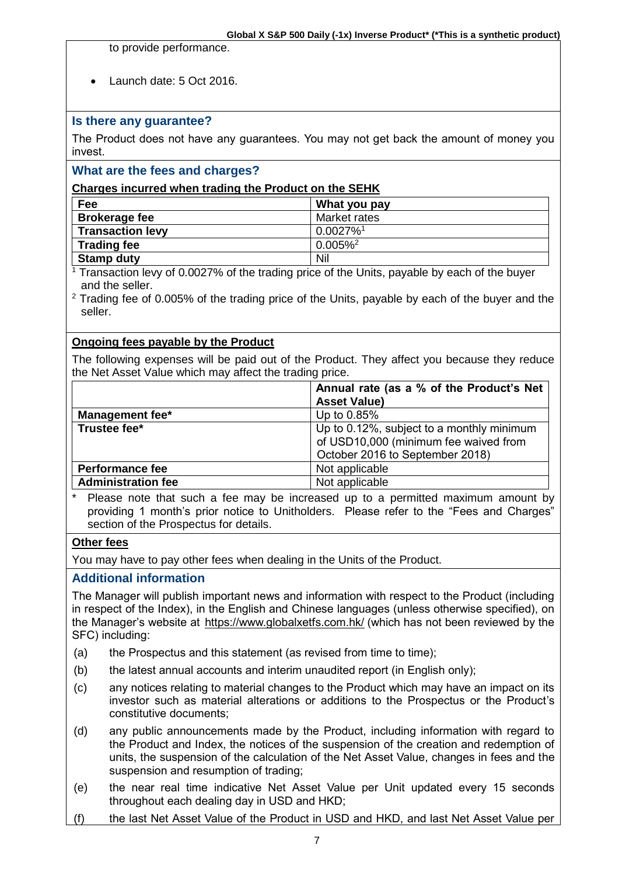to provide performance.

• Launch date: 5 Oct 2016.

## **Is there any guarantee?**

The Product does not have any guarantees. You may not get back the amount of money you invest.

## **What are the fees and charges?**

#### **Charges incurred when trading the Product on the SEHK**

| Fee                     | What you pay            |
|-------------------------|-------------------------|
| <b>Brokerage fee</b>    | Market rates            |
| <b>Transaction levy</b> | $0.0027\%$ <sup>1</sup> |
| <b>Trading fee</b>      | $0.005\%$ <sup>2</sup>  |
| <b>Stamp duty</b>       | Nil                     |

<sup>1</sup> Transaction levy of 0.0027% of the trading price of the Units, payable by each of the buyer and the seller.

<sup>2</sup> Trading fee of 0.005% of the trading price of the Units, payable by each of the buyer and the seller.

#### **Ongoing fees payable by the Product**

The following expenses will be paid out of the Product. They affect you because they reduce the Net Asset Value which may affect the trading price.

|                           | Annual rate (as a % of the Product's Net<br><b>Asset Value)</b>                                                       |
|---------------------------|-----------------------------------------------------------------------------------------------------------------------|
| <b>Management fee*</b>    | Up to 0.85%                                                                                                           |
| Trustee fee*              | Up to 0.12%, subject to a monthly minimum<br>of USD10,000 (minimum fee waived from<br>October 2016 to September 2018) |
| <b>Performance fee</b>    | Not applicable                                                                                                        |
| <b>Administration fee</b> | Not applicable                                                                                                        |

Please note that such a fee may be increased up to a permitted maximum amount by providing 1 month's prior notice to Unitholders. Please refer to the "Fees and Charges" section of the Prospectus for details.

#### **Other fees**

You may have to pay other fees when dealing in the Units of the Product.

## **Additional information**

The Manager will publish important news and information with respect to the Product (including in respect of the Index), in the English and Chinese languages (unless otherwise specified), on the Manager's website at https://www.globalxetfs.com.hk/ (which has not been reviewed by the SFC) including:

- (a) the Prospectus and this statement (as revised from time to time);
- (b) the latest annual accounts and interim unaudited report (in English only);
- (c) any notices relating to material changes to the Product which may have an impact on its investor such as material alterations or additions to the Prospectus or the Product's constitutive documents;
- (d) any public announcements made by the Product, including information with regard to the Product and Index, the notices of the suspension of the creation and redemption of units, the suspension of the calculation of the Net Asset Value, changes in fees and the suspension and resumption of trading;
- (e) the near real time indicative Net Asset Value per Unit updated every 15 seconds throughout each dealing day in USD and HKD;
- (f) the last Net Asset Value of the Product in USD and HKD, and last Net Asset Value per